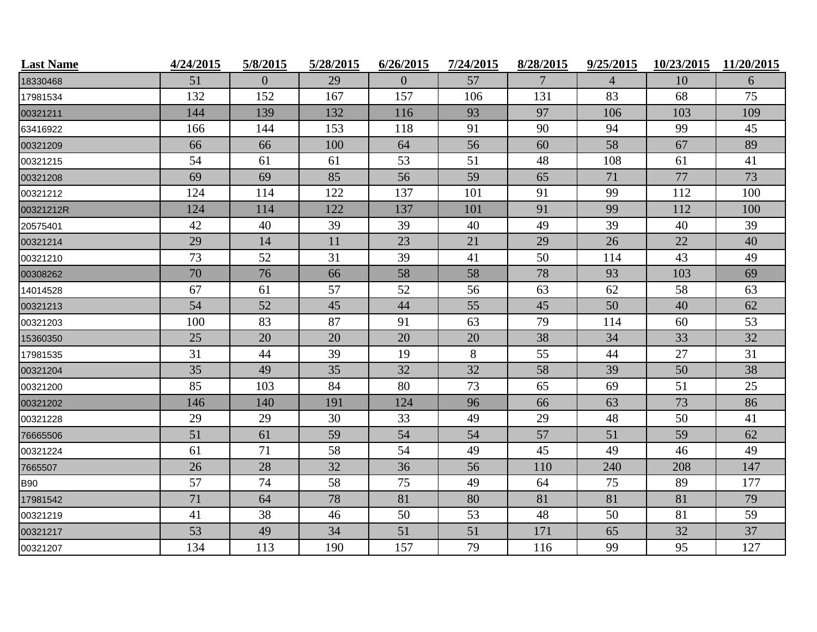| <b>Last Name</b> | 4/24/2015 | 5/8/2015     | 5/28/2015 | 6/26/2015      | 7/24/2015 | 8/28/2015 | 9/25/2015      | 10/23/2015 | 11/20/2015 |
|------------------|-----------|--------------|-----------|----------------|-----------|-----------|----------------|------------|------------|
| 18330468         | 51        | $\mathbf{0}$ | 29        | $\overline{0}$ | 57        | 7         | $\overline{4}$ | 10         | 6          |
| 17981534         | 132       | 152          | 167       | 157            | 106       | 131       | 83             | 68         | 75         |
| 00321211         | 144       | 139          | 132       | 116            | 93        | 97        | 106            | 103        | 109        |
| 63416922         | 166       | 144          | 153       | 118            | 91        | 90        | 94             | 99         | 45         |
| 00321209         | 66        | 66           | 100       | 64             | 56        | 60        | 58             | 67         | 89         |
| 00321215         | 54        | 61           | 61        | 53             | 51        | 48        | 108            | 61         | 41         |
| 00321208         | 69        | 69           | 85        | 56             | 59        | 65        | 71             | 77         | 73         |
| 00321212         | 124       | 114          | 122       | 137            | 101       | 91        | 99             | 112        | 100        |
| 00321212R        | 124       | 114          | 122       | 137            | 101       | 91        | 99             | 112        | 100        |
| 20575401         | 42        | 40           | 39        | 39             | 40        | 49        | 39             | 40         | 39         |
| 00321214         | 29        | 14           | 11        | 23             | 21        | 29        | 26             | 22         | 40         |
| 00321210         | 73        | 52           | 31        | 39             | 41        | 50        | 114            | 43         | 49         |
| 00308262         | 70        | 76           | 66        | 58             | 58        | 78        | 93             | 103        | 69         |
| 14014528         | 67        | 61           | 57        | 52             | 56        | 63        | 62             | 58         | 63         |
| 00321213         | 54        | 52           | 45        | 44             | 55        | 45        | 50             | 40         | 62         |
| 00321203         | 100       | 83           | 87        | 91             | 63        | 79        | 114            | 60         | 53         |
| 15360350         | 25        | 20           | 20        | 20             | 20        | 38        | 34             | 33         | 32         |
| 17981535         | 31        | 44           | 39        | 19             | 8         | 55        | 44             | 27         | 31         |
| 00321204         | 35        | 49           | 35        | 32             | 32        | 58        | 39             | 50         | 38         |
| 00321200         | 85        | 103          | 84        | 80             | 73        | 65        | 69             | 51         | 25         |
| 00321202         | 146       | 140          | 191       | 124            | 96        | 66        | 63             | 73         | 86         |
| 00321228         | 29        | 29           | 30        | 33             | 49        | 29        | 48             | 50         | 41         |
| 76665506         | 51        | 61           | 59        | 54             | 54        | 57        | 51             | 59         | 62         |
| 00321224         | 61        | 71           | 58        | 54             | 49        | 45        | 49             | 46         | 49         |
| 7665507          | 26        | 28           | 32        | 36             | 56        | 110       | 240            | 208        | 147        |
| <b>B90</b>       | 57        | 74           | 58        | 75             | 49        | 64        | 75             | 89         | 177        |
| 17981542         | 71        | 64           | 78        | 81             | 80        | 81        | 81             | 81         | 79         |
| 00321219         | 41        | 38           | 46        | 50             | 53        | 48        | 50             | 81         | 59         |
| 00321217         | 53        | 49           | 34        | 51             | 51        | 171       | 65             | 32         | 37         |
| 00321207         | 134       | 113          | 190       | 157            | 79        | 116       | 99             | 95         | 127        |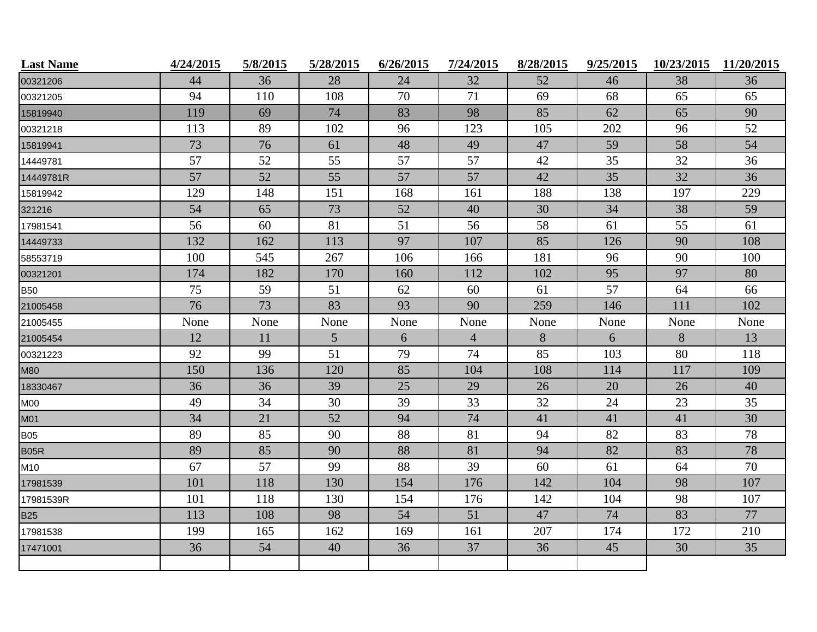| <b>Last Name</b> | 4/24/2015 | 5/8/2015 | 5/28/2015 | 6/26/2015 | 7/24/2015      | 8/28/2015 | 9/25/2015 | 10/23/2015 | 11/20/2015 |
|------------------|-----------|----------|-----------|-----------|----------------|-----------|-----------|------------|------------|
| 00321206         | 44        | 36       | 28        | 24        | 32             | 52        | 46        | 38         | 36         |
| 00321205         | 94        | 110      | 108       | 70        | 71             | 69        | 68        | 65         | 65         |
| 15819940         | 119       | 69       | 74        | 83        | 98             | 85        | 62        | 65         | 90         |
| 00321218         | 113       | 89       | 102       | 96        | 123            | 105       | 202       | 96         | 52         |
| 15819941         | 73        | 76       | 61        | 48        | 49             | 47        | 59        | 58         | 54         |
| 14449781         | 57        | 52       | 55        | 57        | 57             | 42        | 35        | 32         | 36         |
| 14449781R        | 57        | 52       | 55        | 57        | 57             | 42        | 35        | 32         | 36         |
| 15819942         | 129       | 148      | 151       | 168       | 161            | 188       | 138       | 197        | 229        |
| 321216           | 54        | 65       | 73        | 52        | 40             | 30        | 34        | 38         | 59         |
| 17981541         | 56        | 60       | 81        | 51        | 56             | 58        | 61        | 55         | 61         |
| 14449733         | 132       | 162      | 113       | 97        | 107            | 85        | 126       | 90         | 108        |
| 58553719         | 100       | 545      | 267       | 106       | 166            | 181       | 96        | 90         | 100        |
| 00321201         | 174       | 182      | 170       | 160       | 112            | 102       | 95        | 97         | 80         |
| <b>B50</b>       | 75        | 59       | 51        | 62        | 60             | 61        | 57        | 64         | 66         |
| 21005458         | 76        | 73       | 83        | 93        | 90             | 259       | 146       | 111        | 102        |
| 21005455         | None      | None     | None      | None      | None           | None      | None      | None       | None       |
| 21005454         | 12        | 11       | 5         | 6         | $\overline{4}$ | 8         | 6         | 8          | 13         |
| 00321223         | 92        | 99       | 51        | 79        | 74             | 85        | 103       | 80         | 118        |
| <b>M80</b>       | 150       | 136      | 120       | 85        | 104            | 108       | 114       | 117        | 109        |
| 18330467         | 36        | 36       | 39        | 25        | 29             | 26        | 20        | 26         | 40         |
| M00              | 49        | 34       | 30        | 39        | 33             | 32        | 24        | 23         | 35         |
| M01              | 34        | 21       | 52        | 94        | 74             | 41        | 41        | 41         | 30         |
| <b>B05</b>       | 89        | 85       | 90        | 88        | 81             | 94        | 82        | 83         | 78         |
| <b>B05R</b>      | 89        | 85       | 90        | 88        | 81             | 94        | 82        | 83         | 78         |
| M10              | 67        | 57       | 99        | 88        | 39             | 60        | 61        | 64         | 70         |
| 17981539         | 101       | 118      | 130       | 154       | 176            | 142       | 104       | 98         | 107        |
| 17981539R        | 101       | 118      | 130       | 154       | 176            | 142       | 104       | 98         | 107        |
| <b>B25</b>       | 113       | 108      | 98        | 54        | 51             | 47        | 74        | 83         | 77         |
| 17981538         | 199       | 165      | 162       | 169       | 161            | 207       | 174       | 172        | 210        |
| 17471001         | 36        | 54       | 40        | 36        | 37             | 36        | 45        | 30         | 35         |
|                  |           |          |           |           |                |           |           |            |            |